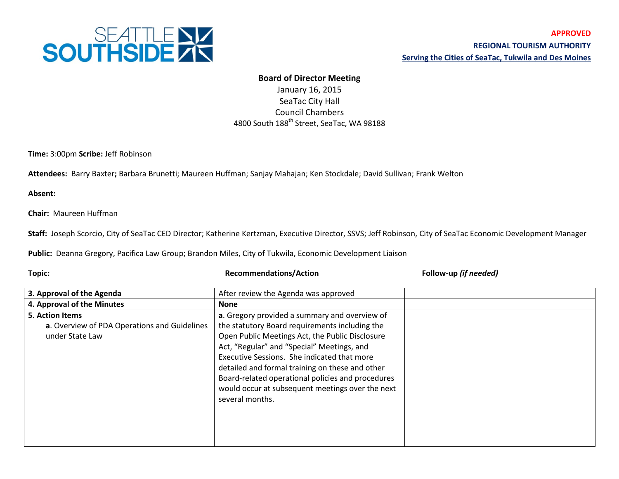

## **Board of Director Meeting**

January 16, 2015 SeaTac City Hall Council Chambers 4800 South 188th Street, SeaTac, WA 98188

**Time:** 3:00pm **Scribe:** Jeff Robinson

**Attendees:** Barry Baxter**;** Barbara Brunetti; Maureen Huffman; Sanjay Mahajan; Ken Stockdale; David Sullivan; Frank Welton

**Absent:**

**Chair:** Maureen Huffman

**Staff:** Joseph Scorcio, City of SeaTac CED Director; Katherine Kertzman, Executive Director, SSVS; Jeff Robinson, City of SeaTac Economic Development Manager

**Public:** Deanna Gregory, Pacifica Law Group; Brandon Miles, City of Tukwila, Economic Development Liaison

**Topic: Recommendations/Action Follow-up** *(if needed)*

| 3. Approval of the Agenda                    | After review the Agenda was approved              |  |
|----------------------------------------------|---------------------------------------------------|--|
| 4. Approval of the Minutes                   | <b>None</b>                                       |  |
| <b>5. Action Items</b>                       | a. Gregory provided a summary and overview of     |  |
| a. Overview of PDA Operations and Guidelines | the statutory Board requirements including the    |  |
| under State Law                              | Open Public Meetings Act, the Public Disclosure   |  |
|                                              | Act, "Regular" and "Special" Meetings, and        |  |
|                                              | Executive Sessions. She indicated that more       |  |
|                                              | detailed and formal training on these and other   |  |
|                                              | Board-related operational policies and procedures |  |
|                                              | would occur at subsequent meetings over the next  |  |
|                                              | several months.                                   |  |
|                                              |                                                   |  |
|                                              |                                                   |  |
|                                              |                                                   |  |
|                                              |                                                   |  |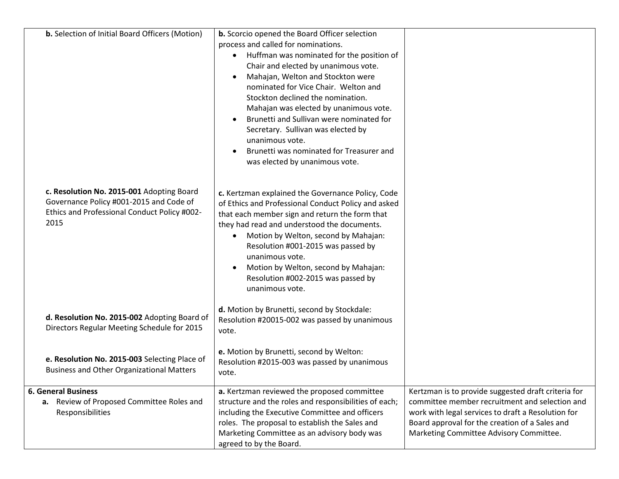| <b>b.</b> Selection of Initial Board Officers (Motion)                                                                                       | <b>b.</b> Scorcio opened the Board Officer selection<br>process and called for nominations.<br>Huffman was nominated for the position of<br>Chair and elected by unanimous vote.<br>Mahajan, Welton and Stockton were<br>$\bullet$<br>nominated for Vice Chair. Welton and<br>Stockton declined the nomination.<br>Mahajan was elected by unanimous vote.<br>Brunetti and Sullivan were nominated for<br>Secretary. Sullivan was elected by<br>unanimous vote.<br>Brunetti was nominated for Treasurer and<br>was elected by unanimous vote. |                                                                                                                                                                                                                                                          |
|----------------------------------------------------------------------------------------------------------------------------------------------|----------------------------------------------------------------------------------------------------------------------------------------------------------------------------------------------------------------------------------------------------------------------------------------------------------------------------------------------------------------------------------------------------------------------------------------------------------------------------------------------------------------------------------------------|----------------------------------------------------------------------------------------------------------------------------------------------------------------------------------------------------------------------------------------------------------|
| c. Resolution No. 2015-001 Adopting Board<br>Governance Policy #001-2015 and Code of<br>Ethics and Professional Conduct Policy #002-<br>2015 | c. Kertzman explained the Governance Policy, Code<br>of Ethics and Professional Conduct Policy and asked<br>that each member sign and return the form that<br>they had read and understood the documents.<br>Motion by Welton, second by Mahajan:<br>$\bullet$<br>Resolution #001-2015 was passed by<br>unanimous vote.<br>Motion by Welton, second by Mahajan:<br>Resolution #002-2015 was passed by<br>unanimous vote.                                                                                                                     |                                                                                                                                                                                                                                                          |
| d. Resolution No. 2015-002 Adopting Board of<br>Directors Regular Meeting Schedule for 2015                                                  | d. Motion by Brunetti, second by Stockdale:<br>Resolution #20015-002 was passed by unanimous<br>vote.                                                                                                                                                                                                                                                                                                                                                                                                                                        |                                                                                                                                                                                                                                                          |
| e. Resolution No. 2015-003 Selecting Place of<br><b>Business and Other Organizational Matters</b>                                            | e. Motion by Brunetti, second by Welton:<br>Resolution #2015-003 was passed by unanimous<br>vote.                                                                                                                                                                                                                                                                                                                                                                                                                                            |                                                                                                                                                                                                                                                          |
| <b>6. General Business</b><br>a. Review of Proposed Committee Roles and<br>Responsibilities                                                  | a. Kertzman reviewed the proposed committee<br>structure and the roles and responsibilities of each;<br>including the Executive Committee and officers<br>roles. The proposal to establish the Sales and<br>Marketing Committee as an advisory body was<br>agreed to by the Board.                                                                                                                                                                                                                                                           | Kertzman is to provide suggested draft criteria for<br>committee member recruitment and selection and<br>work with legal services to draft a Resolution for<br>Board approval for the creation of a Sales and<br>Marketing Committee Advisory Committee. |